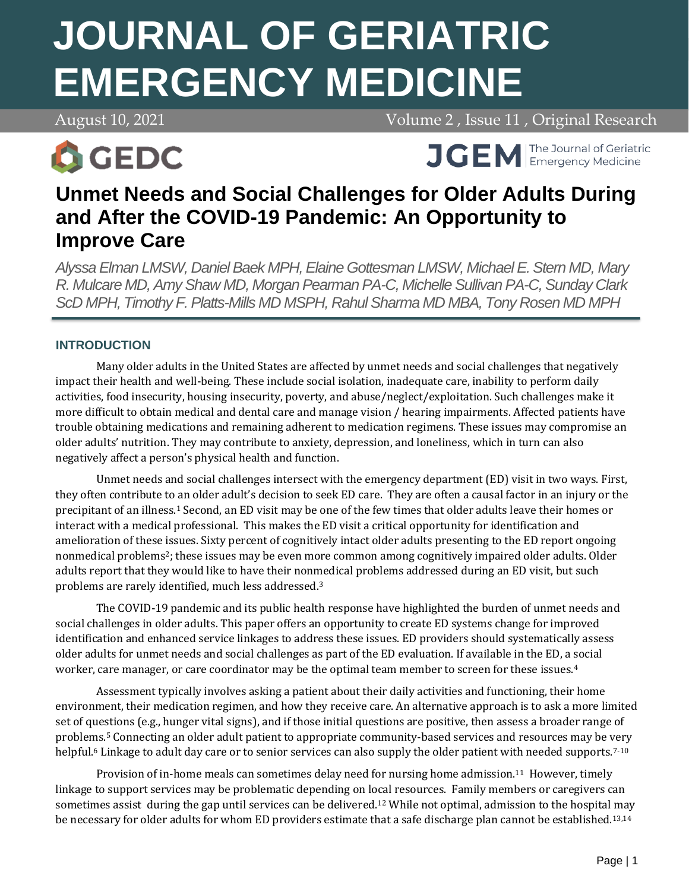# **JOURNAL OF GERIATRIC EMERGENCY MEDICINE**

August 10, 2021 **Volume 2**, Issue 11, Original Research



**APRIL 7, 2021 Volume 2, 2021 Volume 2, 2021 Volume 2, 2021 Volume 2, 2021 Volume 2, 2021 Volume 2, 2021 Volume 2, 2021 Volume 2, 2021 Volume 2, 2021 Volume 2, 2021 Volume 2, 2021 Volume 2, 2021 Volume 2, 2021 Volume 2, 20** 

# **Unmet Needs and Social Challenges for Older Adults During and After the COVID-19 Pandemic: An Opportunity to Improve Care**

*Alyssa Elman LMSW, Daniel Baek MPH, Elaine Gottesman LMSW, Michael E. Stern MD, Mary R. Mulcare MD, Amy Shaw MD, Morgan Pearman PA-C, Michelle Sullivan PA-C, Sunday Clark ScD MPH, Timothy F. Platts-Mills MD MSPH, Rahul Sharma MD MBA, Tony Rosen MD MPH*

# **INTRODUCTION**

Many older adults in the United States are affected by unmet needs and social challenges that negatively impact their health and well-being. These include social isolation, inadequate care, inability to perform daily activities, food insecurity, housing insecurity, poverty, and abuse/neglect/exploitation. Such challenges make it more difficult to obtain medical and dental care and manage vision / hearing impairments. Affected patients have trouble obtaining medications and remaining adherent to medication regimens. These issues may compromise an older adults' nutrition. They may contribute to anxiety, depression, and loneliness, which in turn can also negatively affect a person's physical health and function.

Unmet needs and social challenges intersect with the emergency department (ED) visit in two ways. First, they often contribute to an older adult's decision to seek ED care. They are often a causal factor in an injury or the precipitant of an illness.<sup>1</sup> Second, an ED visit may be one of the few times that older adults leave their homes or interact with a medical professional. This makes the ED visit a critical opportunity for identification and amelioration of these issues. Sixty percent of cognitively intact older adults presenting to the ED report ongoing nonmedical problems<sup>2</sup>; these issues may be even more common among cognitively impaired older adults. Older adults report that they would like to have their nonmedical problems addressed during an ED visit, but such problems are rarely identified, much less addressed.<sup>3</sup>

The COVID-19 pandemic and its public health response have highlighted the burden of unmet needs and social challenges in older adults. This paper offers an opportunity to create ED systems change for improved identification and enhanced service linkages to address these issues. ED providers should systematically assess older adults for unmet needs and social challenges as part of the ED evaluation. If available in the ED, a social worker, care manager, or care coordinator may be the optimal team member to screen for these issues.<sup>4</sup>

Assessment typically involves asking a patient about their daily activities and functioning, their home environment, their medication regimen, and how they receive care. An alternative approach is to ask a more limited set of questions (e.g., hunger vital signs), and if those initial questions are positive, then assess a broader range of problems.<sup>5</sup> Connecting an older adult patient to appropriate community-based services and resources may be very helpful.<sup>6</sup> Linkage to adult day care or to senior services can also supply the older patient with needed supports.<sup>7-10</sup>

Provision of in-home meals can sometimes delay need for nursing home admission.<sup>11</sup> However, timely linkage to support services may be problematic depending on local resources. Family members or caregivers can sometimes assist during the gap until services can be delivered.<sup>12</sup> While not optimal, admission to the hospital may be necessary for older adults for whom ED providers estimate that a safe discharge plan cannot be established.<sup>13,14</sup>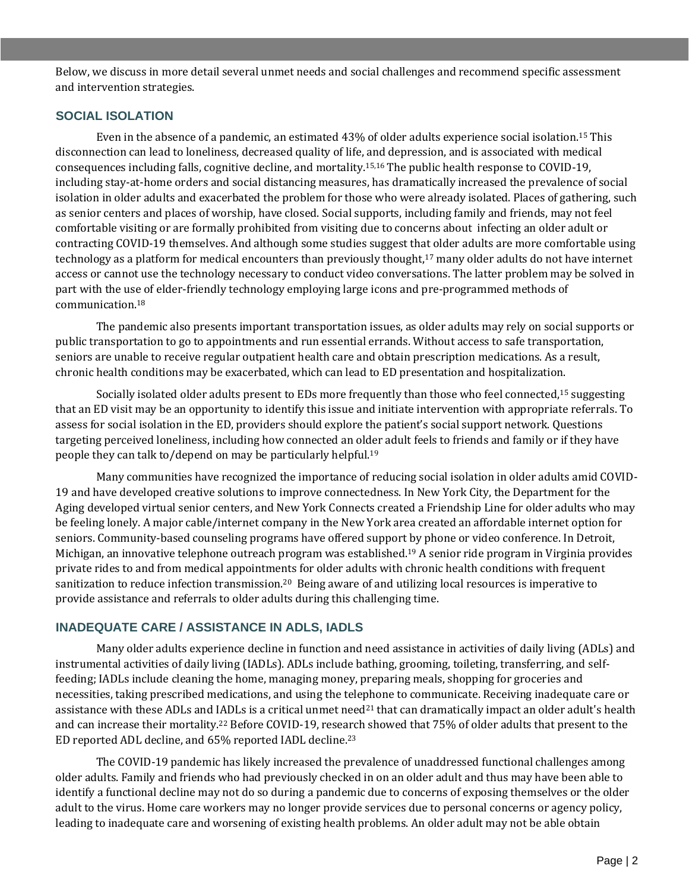Below, we discuss in more detail several unmet needs and social challenges and recommend specific assessment and intervention strategies.

#### **SOCIAL ISOLATION**

Even in the absence of a pandemic, an estimated 43% of older adults experience social isolation.<sup>15</sup> This disconnection can lead to loneliness, decreased quality of life, and depression, and is associated with medical consequences including falls, cognitive decline, and mortality.15,16 The public health response to COVID-19, including stay-at-home orders and social distancing measures, has dramatically increased the prevalence of social isolation in older adults and exacerbated the problem for those who were already isolated. Places of gathering, such as senior centers and places of worship, have closed. Social supports, including family and friends, may not feel comfortable visiting or are formally prohibited from visiting due to concerns about infecting an older adult or contracting COVID-19 themselves. And although some studies suggest that older adults are more comfortable using technology as a platform for medical encounters than previously thought,<sup>17</sup> many older adults do not have internet access or cannot use the technology necessary to conduct video conversations. The latter problem may be solved in part with the use of elder-friendly technology employing large icons and pre-programmed methods of communication.<sup>18</sup>

The pandemic also presents important transportation issues, as older adults may rely on social supports or public transportation to go to appointments and run essential errands. Without access to safe transportation, seniors are unable to receive regular outpatient health care and obtain prescription medications. As a result, chronic health conditions may be exacerbated, which can lead to ED presentation and hospitalization.

Socially isolated older adults present to EDs more frequently than those who feel connected,<sup>15</sup> suggesting that an ED visit may be an opportunity to identify this issue and initiate intervention with appropriate referrals. To assess for social isolation in the ED, providers should explore the patient's social support network. Questions targeting perceived loneliness, including how connected an older adult feels to friends and family or if they have people they can talk to/depend on may be particularly helpful.<sup>19</sup>

Many communities have recognized the importance of reducing social isolation in older adults amid COVID-19 and have developed creative solutions to improve connectedness. In New York City, the Department for the Aging developed virtual senior centers, and New York Connects created a Friendship Line for older adults who may be feeling lonely. A major cable/internet company in the New York area created an affordable internet option for seniors. Community-based counseling programs have offered support by phone or video conference. In Detroit, Michigan, an innovative telephone outreach program was established.<sup>19</sup> A senior ride program in Virginia provides private rides to and from medical appointments for older adults with chronic health conditions with frequent sanitization to reduce infection transmission.20 Being aware of and utilizing local resources is imperative to provide assistance and referrals to older adults during this challenging time.

# **INADEQUATE CARE / ASSISTANCE IN ADLS, IADLS**

Many older adults experience decline in function and need assistance in activities of daily living (ADLs) and instrumental activities of daily living (IADLs). ADLs include bathing, grooming, toileting, transferring, and selffeeding; IADLs include cleaning the home, managing money, preparing meals, shopping for groceries and necessities, taking prescribed medications, and using the telephone to communicate. Receiving inadequate care or assistance with these ADLs and IADLs is a critical unmet need<sup>21</sup> that can dramatically impact an older adult's health and can increase their mortality.<sup>22</sup> Before COVID-19, research showed that 75% of older adults that present to the ED reported ADL decline, and 65% reported IADL decline.<sup>23</sup>

The COVID-19 pandemic has likely increased the prevalence of unaddressed functional challenges among older adults. Family and friends who had previously checked in on an older adult and thus may have been able to identify a functional decline may not do so during a pandemic due to concerns of exposing themselves or the older adult to the virus. Home care workers may no longer provide services due to personal concerns or agency policy, leading to inadequate care and worsening of existing health problems. An older adult may not be able obtain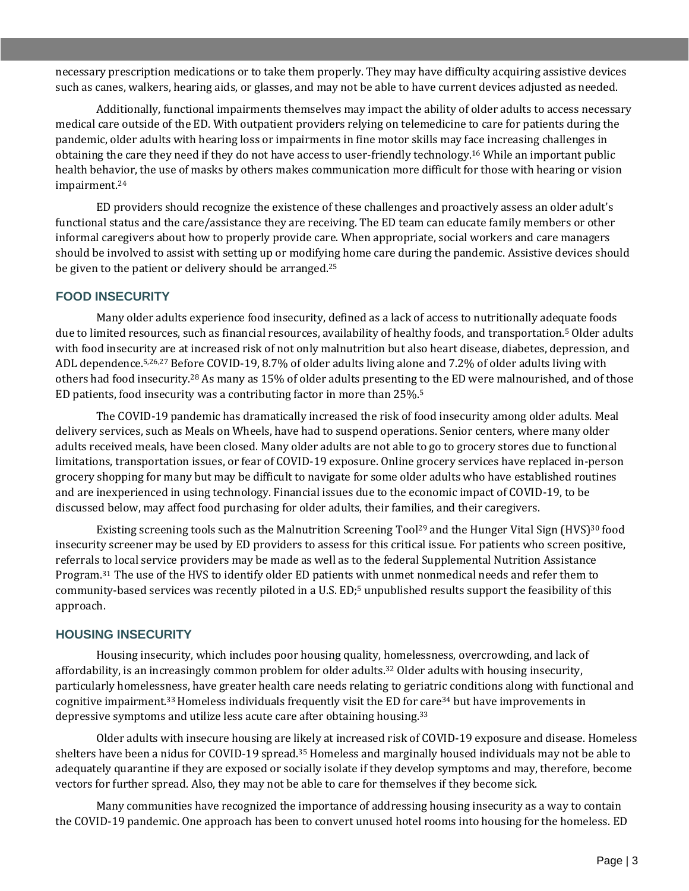necessary prescription medications or to take them properly. They may have difficulty acquiring assistive devices such as canes, walkers, hearing aids, or glasses, and may not be able to have current devices adjusted as needed.

Additionally, functional impairments themselves may impact the ability of older adults to access necessary medical care outside of the ED. With outpatient providers relying on telemedicine to care for patients during the pandemic, older adults with hearing loss or impairments in fine motor skills may face increasing challenges in obtaining the care they need if they do not have access to user-friendly technology.<sup>16</sup> While an important public health behavior, the use of masks by others makes communication more difficult for those with hearing or vision impairment.<sup>24</sup>

ED providers should recognize the existence of these challenges and proactively assess an older adult's functional status and the care/assistance they are receiving. The ED team can educate family members or other informal caregivers about how to properly provide care. When appropriate, social workers and care managers should be involved to assist with setting up or modifying home care during the pandemic. Assistive devices should be given to the patient or delivery should be arranged.<sup>25</sup>

#### **FOOD INSECURITY**

Many older adults experience food insecurity, defined as a lack of access to nutritionally adequate foods due to limited resources, such as financial resources, availability of healthy foods, and transportation.<sup>5</sup> Older adults with food insecurity are at increased risk of not only malnutrition but also heart disease, diabetes, depression, and ADL dependence.5,26,27 Before COVID-19, 8.7% of older adults living alone and 7.2% of older adults living with others had food insecurity.<sup>28</sup> As many as 15% of older adults presenting to the ED were malnourished, and of those ED patients, food insecurity was a contributing factor in more than 25%.<sup>5</sup>

The COVID-19 pandemic has dramatically increased the risk of food insecurity among older adults. Meal delivery services, such as Meals on Wheels, have had to suspend operations. Senior centers, where many older adults received meals, have been closed. Many older adults are not able to go to grocery stores due to functional limitations, transportation issues, or fear of COVID-19 exposure. Online grocery services have replaced in-person grocery shopping for many but may be difficult to navigate for some older adults who have established routines and are inexperienced in using technology. Financial issues due to the economic impact of COVID-19, to be discussed below, may affect food purchasing for older adults, their families, and their caregivers.

Existing screening tools such as the Malnutrition Screening Tool<sup>29</sup> and the Hunger Vital Sign (HVS)<sup>30</sup> food insecurity screener may be used by ED providers to assess for this critical issue. For patients who screen positive, referrals to local service providers may be made as well as to the federal Supplemental Nutrition Assistance Program.31 The use of the HVS to identify older ED patients with unmet nonmedical needs and refer them to community-based services was recently piloted in a U.S. ED:<sup>5</sup> unpublished results support the feasibility of this approach.

#### **HOUSING INSECURITY**

Housing insecurity, which includes poor housing quality, homelessness, overcrowding, and lack of affordability, is an increasingly common problem for older adults.<sup>32</sup> Older adults with housing insecurity, particularly homelessness, have greater health care needs relating to geriatric conditions along with functional and cognitive impairment.33 Homeless individuals frequently visit the ED for care<sup>34</sup> but have improvements in depressive symptoms and utilize less acute care after obtaining housing.<sup>33</sup>

Older adults with insecure housing are likely at increased risk of COVID-19 exposure and disease. Homeless shelters have been a nidus for COVID-19 spread.<sup>35</sup> Homeless and marginally housed individuals may not be able to adequately quarantine if they are exposed or socially isolate if they develop symptoms and may, therefore, become vectors for further spread. Also, they may not be able to care for themselves if they become sick.

Many communities have recognized the importance of addressing housing insecurity as a way to contain the COVID-19 pandemic. One approach has been to convert unused hotel rooms into housing for the homeless. ED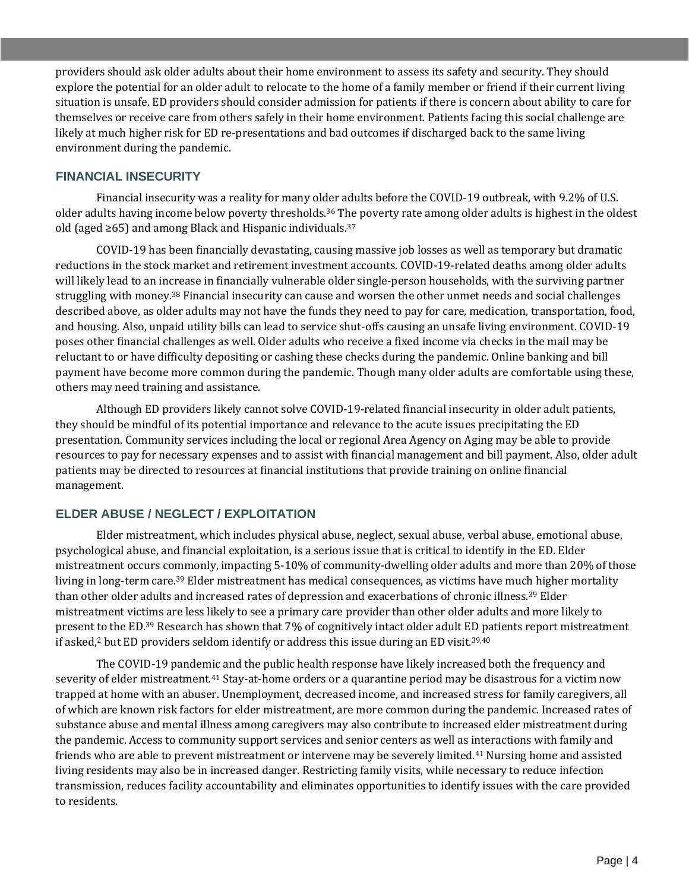providers should ask older adults about their home environment to assess its safety and security. They should explore the potential for an older adult to relocate to the home of a family member or friend if their current living situation is unsafe. ED providers should consider admission for patients if there is concern about ability to care for themselves or receive care from others safely in their home environment. Patients facing this social challenge are likely at much higher risk for ED re-presentations and bad outcomes if discharged back to the same living environment during the pandemic.

#### **FINANCIAL INSECURITY**

Financial insecurity was a reality for many older adults before the COVID-19 outbreak, with 9.2% of U.S. older adults having income below poverty thresholds.<sup>36</sup> The poverty rate among older adults is highest in the oldest old (aged ≥65) and among Black and Hispanic individuals.<sup>37</sup>

COVID-19 has been financially devastating, causing massive job losses as well as temporary but dramatic reductions in the stock market and retirement investment accounts. COVID-19-related deaths among older adults will likely lead to an increase in financially vulnerable older single-person households, with the surviving partner struggling with money.<sup>38</sup> Financial insecurity can cause and worsen the other unmet needs and social challenges described above, as older adults may not have the funds they need to pay for care, medication, transportation, food, and housing. Also, unpaid utility bills can lead to service shut-offs causing an unsafe living environment. COVID-19 poses other financial challenges as well. Older adults who receive a fixed income via checks in the mail may be reluctant to or have difficulty depositing or cashing these checks during the pandemic. Online banking and bill payment have become more common during the pandemic. Though many older adults are comfortable using these, others may need training and assistance.

Although ED providers likely cannot solve COVID-19-related financial insecurity in older adult patients, they should be mindful of its potential importance and relevance to the acute issues precipitating the ED presentation. Community services including the local or regional Area Agency on Aging may be able to provide resources to pay for necessary expenses and to assist with financial management and bill payment. Also, older adult patients may be directed to resources at financial institutions that provide training on online financial management.

# **ELDER ABUSE / NEGLECT / EXPLOITATION**

Elder mistreatment, which includes physical abuse, neglect, sexual abuse, verbal abuse, emotional abuse, psychological abuse, and financial exploitation, is a serious issue that is critical to identify in the ED. Elder mistreatment occurs commonly, impacting 5-10% of community-dwelling older adults and more than 20% of those living in long-term care.<sup>39</sup> Elder mistreatment has medical consequences, as victims have much higher mortality than other older adults and increased rates of depression and exacerbations of chronic illness.<sup>39</sup> Elder mistreatment victims are less likely to see a primary care provider than other older adults and more likely to present to the ED.<sup>39</sup> Research has shown that 7% of cognitively intact older adult ED patients report mistreatment if asked,<sup>2</sup> but ED providers seldom identify or address this issue during an ED visit.<sup>39,40</sup>

The COVID-19 pandemic and the public health response have likely increased both the frequency and severity of elder mistreatment.<sup>41</sup> Stay-at-home orders or a quarantine period may be disastrous for a victim now trapped at home with an abuser. Unemployment, decreased income, and increased stress for family caregivers, all of which are known risk factors for elder mistreatment, are more common during the pandemic. Increased rates of substance abuse and mental illness among caregivers may also contribute to increased elder mistreatment during the pandemic. Access to community support services and senior centers as well as interactions with family and friends who are able to prevent mistreatment or intervene may be severely limited.<sup>41</sup> Nursing home and assisted living residents may also be in increased danger. Restricting family visits, while necessary to reduce infection transmission, reduces facility accountability and eliminates opportunities to identify issues with the care provided to residents.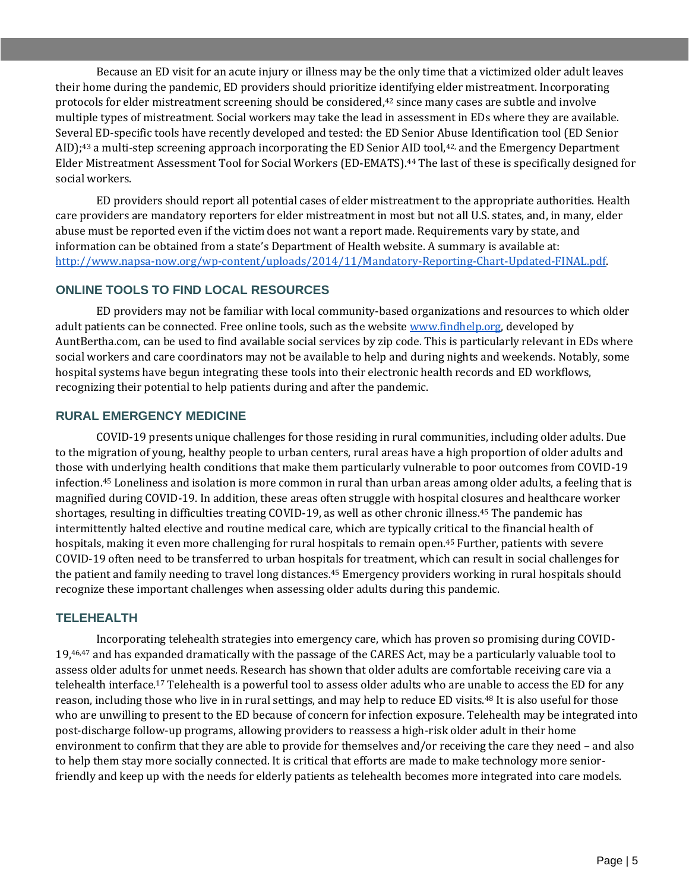Because an ED visit for an acute injury or illness may be the only time that a victimized older adult leaves their home during the pandemic, ED providers should prioritize identifying elder mistreatment. Incorporating protocols for elder mistreatment screening should be considered,<sup>42</sup> since many cases are subtle and involve multiple types of mistreatment. Social workers may take the lead in assessment in EDs where they are available. Several ED-specific tools have recently developed and tested: the ED Senior Abuse Identification tool (ED Senior AID);<sup>43</sup> a multi-step screening approach incorporating the ED Senior AID tool,42, and the Emergency Department Elder Mistreatment Assessment Tool for Social Workers (ED-EMATS).<sup>44</sup> The last of these is specifically designed for social workers.

ED providers should report all potential cases of elder mistreatment to the appropriate authorities. Health care providers are mandatory reporters for elder mistreatment in most but not all U.S. states, and, in many, elder abuse must be reported even if the victim does not want a report made. Requirements vary by state, and information can be obtained from a state's Department of Health website. A summary is available at: [http://www.napsa-now.org/wp-content/uploads/2014/11/Mandatory-Reporting-Chart-Updated-FINAL.pdf.](http://www.napsa-now.org/wp-content/uploads/2014/11/Mandatory-Reporting-Chart-Updated-FINAL.pdf)

### **ONLINE TOOLS TO FIND LOCAL RESOURCES**

ED providers may not be familiar with local community-based organizations and resources to which older adult patients can be connected. Free online tools, such as the websit[e www.findhelp.org,](http://www.findhelp.org/) developed by AuntBertha.com, can be used to find available social services by zip code. This is particularly relevant in EDs where social workers and care coordinators may not be available to help and during nights and weekends. Notably, some hospital systems have begun integrating these tools into their electronic health records and ED workflows, recognizing their potential to help patients during and after the pandemic.

#### **RURAL EMERGENCY MEDICINE**

COVID-19 presents unique challenges for those residing in rural communities, including older adults. Due to the migration of young, healthy people to urban centers, rural areas have a high proportion of older adults and those with underlying health conditions that make them particularly vulnerable to poor outcomes from COVID-19 infection.<sup>45</sup> Loneliness and isolation is more common in rural than urban areas among older adults, a feeling that is magnified during COVID-19. In addition, these areas often struggle with hospital closures and healthcare worker shortages, resulting in difficulties treating COVID-19, as well as other chronic illness.<sup>45</sup> The pandemic has intermittently halted elective and routine medical care, which are typically critical to the financial health of hospitals, making it even more challenging for rural hospitals to remain open.<sup>45</sup> Further, patients with severe COVID-19 often need to be transferred to urban hospitals for treatment, which can result in social challenges for the patient and family needing to travel long distances.<sup>45</sup> Emergency providers working in rural hospitals should recognize these important challenges when assessing older adults during this pandemic.

#### **TELEHEALTH**

Incorporating telehealth strategies into emergency care, which has proven so promising during COVID- $19,46,47$  and has expanded dramatically with the passage of the CARES Act, may be a particularly valuable tool to assess older adults for unmet needs. Research has shown that older adults are comfortable receiving care via a telehealth interface.<sup>17</sup> Telehealth is a powerful tool to assess older adults who are unable to access the ED for any reason, including those who live in in rural settings, and may help to reduce ED visits.<sup>48</sup> It is also useful for those who are unwilling to present to the ED because of concern for infection exposure. Telehealth may be integrated into post-discharge follow-up programs, allowing providers to reassess a high-risk older adult in their home environment to confirm that they are able to provide for themselves and/or receiving the care they need – and also to help them stay more socially connected. It is critical that efforts are made to make technology more seniorfriendly and keep up with the needs for elderly patients as telehealth becomes more integrated into care models.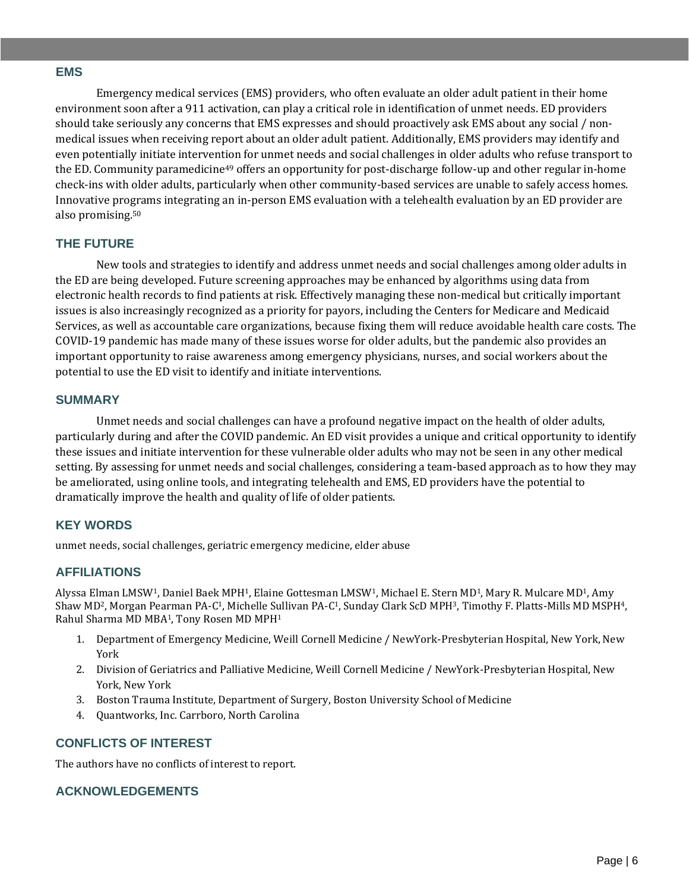#### **EMS**

Emergency medical services (EMS) providers, who often evaluate an older adult patient in their home environment soon after a 911 activation, can play a critical role in identification of unmet needs. ED providers should take seriously any concerns that EMS expresses and should proactively ask EMS about any social / nonmedical issues when receiving report about an older adult patient. Additionally, EMS providers may identify and even potentially initiate intervention for unmet needs and social challenges in older adults who refuse transport to the ED. Community paramedicine<sup>49</sup> offers an opportunity for post-discharge follow-up and other regular in-home check-ins with older adults, particularly when other community-based services are unable to safely access homes. Innovative programs integrating an in-person EMS evaluation with a telehealth evaluation by an ED provider are also promising.<sup>50</sup>

#### **THE FUTURE**

New tools and strategies to identify and address unmet needs and social challenges among older adults in the ED are being developed. Future screening approaches may be enhanced by algorithms using data from electronic health records to find patients at risk. Effectively managing these non-medical but critically important issues is also increasingly recognized as a priority for payors, including the Centers for Medicare and Medicaid Services, as well as accountable care organizations, because fixing them will reduce avoidable health care costs. The COVID-19 pandemic has made many of these issues worse for older adults, but the pandemic also provides an important opportunity to raise awareness among emergency physicians, nurses, and social workers about the potential to use the ED visit to identify and initiate interventions.

#### **SUMMARY**

Unmet needs and social challenges can have a profound negative impact on the health of older adults, particularly during and after the COVID pandemic. An ED visit provides a unique and critical opportunity to identify these issues and initiate intervention for these vulnerable older adults who may not be seen in any other medical setting. By assessing for unmet needs and social challenges, considering a team-based approach as to how they may be ameliorated, using online tools, and integrating telehealth and EMS, ED providers have the potential to dramatically improve the health and quality of life of older patients.

#### **KEY WORDS**

unmet needs, social challenges, geriatric emergency medicine, elder abuse

# **AFFILIATIONS**

Alyssa Elman LMSW1, Daniel Baek MPH1, Elaine Gottesman LMSW1, Michael E. Stern MD1, Mary R. Mulcare MD1, Amy Shaw MD2, Morgan Pearman PA-C1, Michelle Sullivan PA-C1, Sunday Clark ScD MPH3, Timothy F. Platts-Mills MD MSPH4, Rahul Sharma MD MBA1, Tony Rosen MD MPH<sup>1</sup>

- 1. Department of Emergency Medicine, Weill Cornell Medicine / NewYork-Presbyterian Hospital, New York, New York
- 2. Division of Geriatrics and Palliative Medicine, Weill Cornell Medicine / NewYork-Presbyterian Hospital, New York, New York
- 3. Boston Trauma Institute, Department of Surgery, Boston University School of Medicine
- 4. Quantworks, Inc. Carrboro, North Carolina

# **CONFLICTS OF INTEREST**

The authors have no conflicts of interest to report.

# **ACKNOWLEDGEMENTS**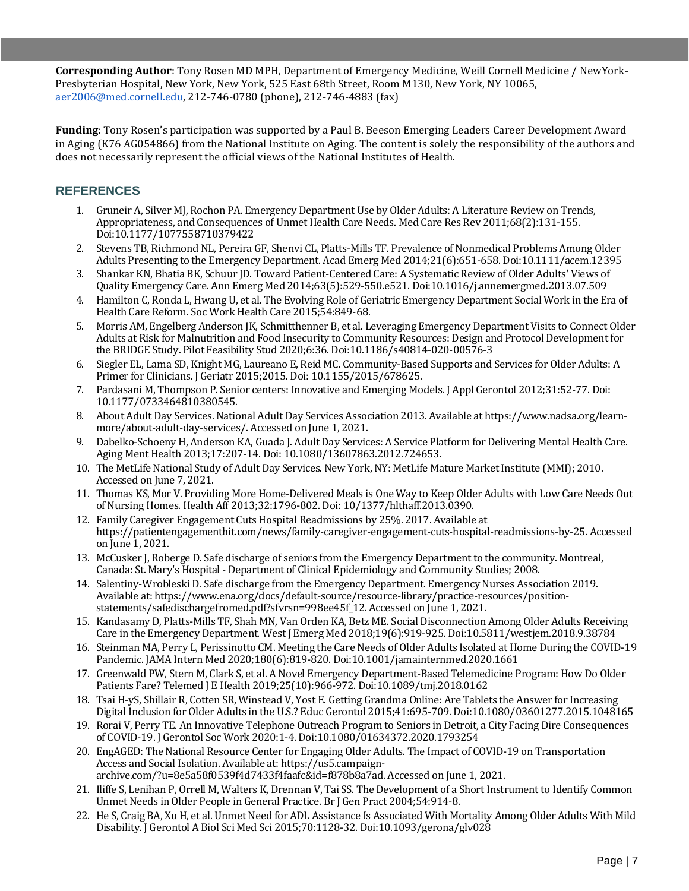**Corresponding Author**: Tony Rosen MD MPH, Department of Emergency Medicine, Weill Cornell Medicine / NewYork-Presbyterian Hospital, New York, New York, 525 East 68th Street, Room M130, New York, NY 10065, [aer2006@med.cornell.edu,](mailto:aer2006@med.cornell.edu) 212-746-0780 (phone), 212-746-4883 (fax)

**Funding**: Tony Rosen's participation was supported by a Paul B. Beeson Emerging Leaders Career Development Award in Aging (K76 AG054866) from the National Institute on Aging. The content is solely the responsibility of the authors and does not necessarily represent the official views of the National Institutes of Health.

## **REFERENCES**

- 1. Gruneir A, Silver MJ, Rochon PA. Emergency Department Use by Older Adults: A Literature Review on Trends, Appropriateness, and Consequences of Unmet Health Care Needs. Med Care Res Rev 2011;68(2):131-155. Doi:10.1177/1077558710379422
- 2. Stevens TB, Richmond NL, Pereira GF, Shenvi CL, Platts-Mills TF. Prevalence of Nonmedical Problems Among Older Adults Presenting to the Emergency Department. Acad Emerg Med 2014;21(6):651-658. Doi:10.1111/acem.12395
- 3. Shankar KN, Bhatia BK, Schuur JD. Toward Patient-Centered Care: A Systematic Review of Older Adults' Views of Quality Emergency Care. Ann Emerg Med 2014;63(5):529-550.e521. Doi:10.1016/j.annemergmed.2013.07.509
- 4. Hamilton C, Ronda L, Hwang U, et al. The Evolving Role of Geriatric Emergency Department Social Work in the Era of Health Care Reform. Soc Work Health Care 2015;54:849-68.
- 5. Morris AM, Engelberg Anderson JK, Schmitthenner B, et al. Leveraging Emergency Department Visits to Connect Older Adults at Risk for Malnutrition and Food Insecurity to Community Resources: Design and Protocol Development for the BRIDGE Study. Pilot Feasibility Stud 2020;6:36. Doi:10.1186/s40814-020-00576-3
- 6. Siegler EL, Lama SD, Knight MG, Laureano E, Reid MC. Community-Based Supports and Services for Older Adults: A Primer for Clinicians. J Geriatr 2015;2015. Doi: 10.1155/2015/678625.
- 7. Pardasani M, Thompson P. Senior centers: Innovative and Emerging Models. J Appl Gerontol 2012;31:52-77. Doi: 10.1177/0733464810380545.
- 8. About Adult Day Services. National Adult Day Services Association 2013. Available at https://www.nadsa.org/learnmore/about-adult-day-services/. Accessed on June 1, 2021.
- 9. Dabelko-Schoeny H, Anderson KA, Guada J. Adult Day Services: A Service Platform for Delivering Mental Health Care. Aging Ment Health 2013;17:207-14. Doi: 10.1080/13607863.2012.724653.
- 10. The MetLife National Study of Adult Day Services. New York, NY: MetLife Mature Market Institute (MMI); 2010. Accessed on June 7, 2021.
- 11. Thomas KS, Mor V. Providing More Home-Delivered Meals is One Way to Keep Older Adults with Low Care Needs Out of Nursing Homes. Health Aff 2013;32:1796-802. Doi: 10/1377/hlthaff.2013.0390.
- 12. Family Caregiver Engagement Cuts Hospital Readmissions by 25%. 2017. Available at https://patientengagementhit.com/news/family-caregiver-engagement-cuts-hospital-readmissions-by-25. Accessed on June 1, 2021.
- 13. McCusker J, Roberge D. Safe discharge of seniors from the Emergency Department to the community. Montreal, Canada: St. Mary's Hospital - Department of Clinical Epidemiology and Community Studies; 2008.
- 14. Salentiny-Wrobleski D. Safe discharge from the Emergency Department. Emergency Nurses Association 2019. Available at: https://www.ena.org/docs/default-source/resource-library/practice-resources/positionstatements/safedischargefromed.pdf?sfvrsn=998ee45f\_12. Accessed on June 1, 2021.
- 15. Kandasamy D, Platts-Mills TF, Shah MN, Van Orden KA, Betz ME. Social Disconnection Among Older Adults Receiving Care in the Emergency Department. West J Emerg Med 2018;19(6):919-925. Doi:10.5811/westjem.2018.9.38784
- 16. Steinman MA, Perry L, Perissinotto CM. Meeting the Care Needs of Older Adults Isolated at Home During the COVID-19 Pandemic. JAMA Intern Med 2020;180(6):819-820. Doi:10.1001/jamainternmed.2020.1661
- 17. Greenwald PW, Stern M, Clark S, et al. A Novel Emergency Department-Based Telemedicine Program: How Do Older Patients Fare? Telemed J E Health 2019;25(10):966-972. Doi:10.1089/tmj.2018.0162
- 18. Tsai H-yS, Shillair R, Cotten SR, Winstead V, Yost E. Getting Grandma Online: Are Tablets the Answer for Increasing Digital Inclusion for Older Adults in the U.S.? Educ Gerontol 2015;41:695-709. Doi:10.1080/03601277.2015.1048165
- 19. Rorai V, Perry TE. An Innovative Telephone Outreach Program to Seniors in Detroit, a City Facing Dire Consequences of COVID-19. J Gerontol Soc Work 2020:1-4. Doi:10.1080/01634372.2020.1793254
- 20. EngAGED: The National Resource Center for Engaging Older Adults. The Impact of COVID-19 on Transportation Access and Social Isolation. Available at: https://us5.campaignarchive.com/?u=8e5a58f0539f4d7433f4faafc&id=f878b8a7ad. Accessed on June 1, 2021.
- 21. Iliffe S, Lenihan P, Orrell M, Walters K, Drennan V, Tai SS. The Development of a Short Instrument to Identify Common Unmet Needs in Older People in General Practice. Br J Gen Pract 2004;54:914-8.
- 22. He S, Craig BA, Xu H, et al. Unmet Need for ADL Assistance Is Associated With Mortality Among Older Adults With Mild Disability. J Gerontol A Biol Sci Med Sci 2015;70:1128-32. Doi:10.1093/gerona/glv028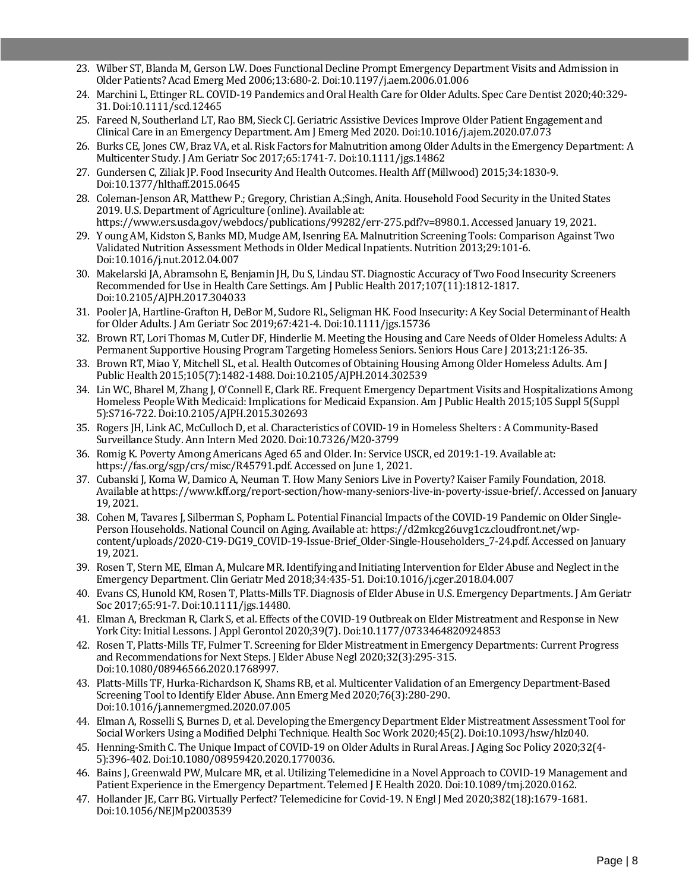- 23. Wilber ST, Blanda M, Gerson LW. Does Functional Decline Prompt Emergency Department Visits and Admission in Older Patients? Acad Emerg Med 2006;13:680-2. Doi:10.1197/j.aem.2006.01.006
- 24. Marchini L, Ettinger RL. COVID-19 Pandemics and Oral Health Care for Older Adults. Spec Care Dentist 2020;40:329- 31. Doi:10.1111/scd.12465
- 25. Fareed N, Southerland LT, Rao BM, Sieck CJ. Geriatric Assistive Devices Improve Older Patient Engagement and Clinical Care in an Emergency Department. Am J Emerg Med 2020. Doi:10.1016/j.ajem.2020.07.073
- 26. Burks CE, Jones CW, Braz VA, et al. Risk Factors for Malnutrition among Older Adults in the Emergency Department: A Multicenter Study. J Am Geriatr Soc 2017;65:1741-7. Doi:10.1111/jgs.14862
- 27. Gundersen C, Ziliak JP. Food Insecurity And Health Outcomes. Health Aff (Millwood) 2015;34:1830-9. Doi:10.1377/hlthaff.2015.0645
- 28. Coleman-Jenson AR, Matthew P.; Gregory, Christian A.;Singh, Anita. Household Food Security in the United States 2019. U.S. Department of Agriculture (online). Available at: https://www.ers.usda.gov/webdocs/publications/99282/err-275.pdf?v=8980.1. Accessed January 19, 2021.
- 29. Y oung AM, Kidston S, Banks MD, Mudge AM, Isenring EA. Malnutrition Screening Tools: Comparison Against Two Validated Nutrition Assessment Methods in Older Medical Inpatients. Nutrition 2013;29:101-6. Doi:10.1016/j.nut.2012.04.007
- 30. Makelarski JA, Abramsohn E, Benjamin JH, Du S, Lindau ST. Diagnostic Accuracy of Two Food Insecurity Screeners Recommended for Use in Health Care Settings. Am J Public Health 2017;107(11):1812-1817. Doi:10.2105/AJPH.2017.304033
- 31. Pooler JA, Hartline-Grafton H, DeBor M, Sudore RL, Seligman HK. Food Insecurity: A Key Social Determinant of Health for Older Adults. J Am Geriatr Soc 2019;67:421-4. Doi:10.1111/jgs.15736
- 32. Brown RT, Lori Thomas M, Cutler DF, Hinderlie M. Meeting the Housing and Care Needs of Older Homeless Adults: A Permanent Supportive Housing Program Targeting Homeless Seniors. Seniors Hous Care J 2013;21:126-35.
- 33. Brown RT, Miao Y, Mitchell SL, et al. Health Outcomes of Obtaining Housing Among Older Homeless Adults. Am J Public Health 2015;105(7):1482-1488. Doi:10.2105/AJPH.2014.302539
- 34. Lin WC, Bharel M, Zhang J, O'Connell E, Clark RE. Frequent Emergency Department Visits and Hospitalizations Among Homeless People With Medicaid: Implications for Medicaid Expansion. Am J Public Health 2015;105 Suppl 5(Suppl 5):S716-722. Doi:10.2105/AJPH.2015.302693
- 35. Rogers JH, Link AC, McCulloch D, et al. Characteristics of COVID-19 in Homeless Shelters : A Community-Based Surveillance Study. Ann Intern Med 2020. Doi:10.7326/M20-3799
- 36. Romig K. Poverty Among Americans Aged 65 and Older. In: Service USCR, ed 2019:1-19. Available at: https://fas.org/sgp/crs/misc/R45791.pdf. Accessed on June 1, 2021.
- 37. Cubanski J, Koma W, Damico A, Neuman T. How Many Seniors Live in Poverty? Kaiser Family Foundation, 2018. Available at https://www.kff.org/report-section/how-many-seniors-live-in-poverty-issue-brief/. Accessed on January 19, 2021.
- 38. Cohen M, Tavares J, Silberman S, Popham L. Potential Financial Impacts of the COVID-19 Pandemic on Older Single-Person Households. National Council on Aging. Available at: https://d2mkcg26uvg1cz.cloudfront.net/wpcontent/uploads/2020-C19-DG19\_COVID-19-Issue-Brief\_Older-Single-Householders\_7-24.pdf. Accessed on January 19, 2021.
- 39. Rosen T, Stern ME, Elman A, Mulcare MR. Identifying and Initiating Intervention for Elder Abuse and Neglect in the Emergency Department. Clin Geriatr Med 2018;34:435-51. Doi:10.1016/j.cger.2018.04.007
- 40. Evans CS, Hunold KM, Rosen T, Platts-Mills TF. Diagnosis of Elder Abuse in U.S. Emergency Departments. J Am Geriatr Soc 2017;65:91-7. Doi:10.1111/jgs.14480.
- 41. Elman A, Breckman R, Clark S, et al. Effects of the COVID-19 Outbreak on Elder Mistreatment and Response in New York City: Initial Lessons. J Appl Gerontol 2020;39(7). Doi:10.1177/0733464820924853
- 42. Rosen T, Platts-Mills TF, Fulmer T. Screening for Elder Mistreatment in Emergency Departments: Current Progress and Recommendations for Next Steps. J Elder Abuse Negl 2020;32(3):295-315. Doi:10.1080/08946566.2020.1768997.
- 43. Platts-Mills TF, Hurka-Richardson K, Shams RB, et al. Multicenter Validation of an Emergency Department-Based Screening Tool to Identify Elder Abuse. Ann Emerg Med 2020;76(3):280-290. Doi:10.1016/j.annemergmed.2020.07.005
- 44. Elman A, Rosselli S, Burnes D, et al. Developing the Emergency Department Elder Mistreatment Assessment Tool for Social Workers Using a Modified Delphi Technique. Health Soc Work 2020;45(2). Doi:10.1093/hsw/hlz040.
- 45. Henning-Smith C. The Unique Impact of COVID-19 on Older Adults in Rural Areas. J Aging Soc Policy 2020;32(4- 5):396-402. Doi:10.1080/08959420.2020.1770036.
- 46. Bains J, Greenwald PW, Mulcare MR, et al. Utilizing Telemedicine in a Novel Approach to COVID-19 Management and Patient Experience in the Emergency Department. Telemed J E Health 2020. Doi:10.1089/tmj.2020.0162.
- 47. Hollander JE, Carr BG. Virtually Perfect? Telemedicine for Covid-19. N Engl J Med 2020;382(18):1679-1681. Doi:10.1056/NEJMp2003539